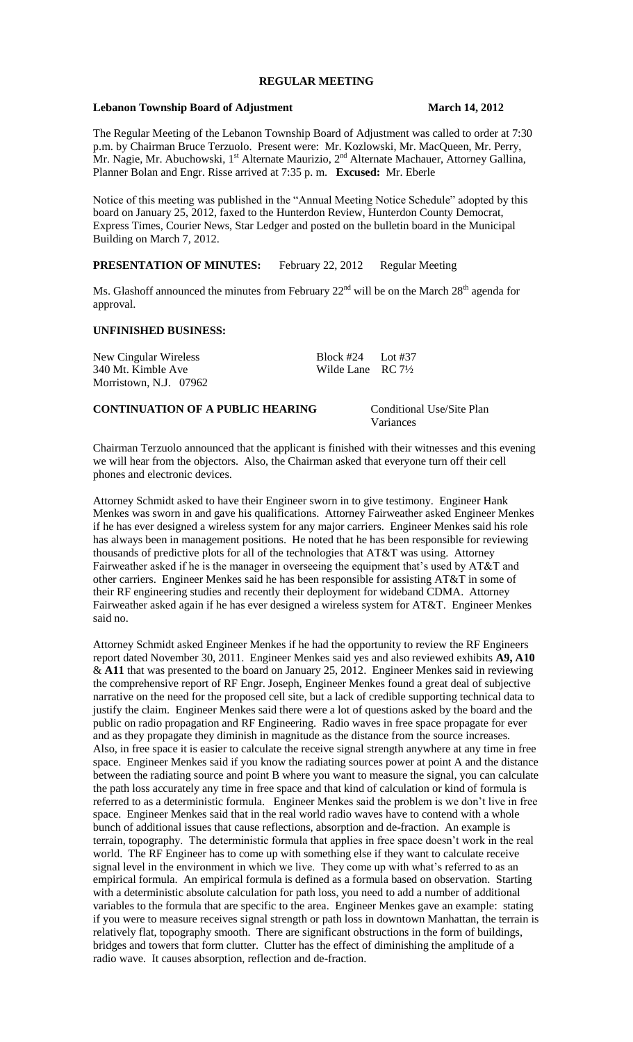# **REGULAR MEETING**

#### **Lebanon Township Board of Adjustment March 14, 2012**

The Regular Meeting of the Lebanon Township Board of Adjustment was called to order at 7:30 p.m. by Chairman Bruce Terzuolo. Present were: Mr. Kozlowski, Mr. MacQueen, Mr. Perry, Mr. Nagie, Mr. Abuchowski, 1<sup>st</sup> Alternate Maurizio, 2<sup>nd</sup> Alternate Machauer, Attorney Gallina, Planner Bolan and Engr. Risse arrived at 7:35 p. m. **Excused:** Mr. Eberle

Notice of this meeting was published in the "Annual Meeting Notice Schedule" adopted by this board on January 25, 2012, faxed to the Hunterdon Review, Hunterdon County Democrat, Express Times, Courier News, Star Ledger and posted on the bulletin board in the Municipal Building on March 7, 2012.

**PRESENTATION OF MINUTES:** February 22, 2012 Regular Meeting

Ms. Glashoff announced the minutes from February  $22<sup>nd</sup>$  will be on the March  $28<sup>th</sup>$  agenda for approval.

# **UNFINISHED BUSINESS:**

New Cingular Wireless Block #24 Lot #37 340 Mt. Kimble Ave Wilde Lane RC 7<sup>1</sup>/<sub>2</sub> Morristown, N.J. 07962

## **CONTINUATION OF A PUBLIC HEARING** Conditional Use/Site Plan

Variances

Chairman Terzuolo announced that the applicant is finished with their witnesses and this evening we will hear from the objectors. Also, the Chairman asked that everyone turn off their cell phones and electronic devices.

Attorney Schmidt asked to have their Engineer sworn in to give testimony. Engineer Hank Menkes was sworn in and gave his qualifications. Attorney Fairweather asked Engineer Menkes if he has ever designed a wireless system for any major carriers. Engineer Menkes said his role has always been in management positions. He noted that he has been responsible for reviewing thousands of predictive plots for all of the technologies that AT&T was using. Attorney Fairweather asked if he is the manager in overseeing the equipment that's used by AT&T and other carriers. Engineer Menkes said he has been responsible for assisting AT&T in some of their RF engineering studies and recently their deployment for wideband CDMA. Attorney Fairweather asked again if he has ever designed a wireless system for AT&T. Engineer Menkes said no.

Attorney Schmidt asked Engineer Menkes if he had the opportunity to review the RF Engineers report dated November 30, 2011. Engineer Menkes said yes and also reviewed exhibits **A9, A10** & **A11** that was presented to the board on January 25, 2012. Engineer Menkes said in reviewing the comprehensive report of RF Engr. Joseph, Engineer Menkes found a great deal of subjective narrative on the need for the proposed cell site, but a lack of credible supporting technical data to justify the claim. Engineer Menkes said there were a lot of questions asked by the board and the public on radio propagation and RF Engineering. Radio waves in free space propagate for ever and as they propagate they diminish in magnitude as the distance from the source increases. Also, in free space it is easier to calculate the receive signal strength anywhere at any time in free space. Engineer Menkes said if you know the radiating sources power at point A and the distance between the radiating source and point B where you want to measure the signal, you can calculate the path loss accurately any time in free space and that kind of calculation or kind of formula is referred to as a deterministic formula. Engineer Menkes said the problem is we don't live in free space. Engineer Menkes said that in the real world radio waves have to contend with a whole bunch of additional issues that cause reflections, absorption and de-fraction. An example is terrain, topography. The deterministic formula that applies in free space doesn't work in the real world. The RF Engineer has to come up with something else if they want to calculate receive signal level in the environment in which we live. They come up with what's referred to as an empirical formula. An empirical formula is defined as a formula based on observation. Starting with a deterministic absolute calculation for path loss, you need to add a number of additional variables to the formula that are specific to the area. Engineer Menkes gave an example: stating if you were to measure receives signal strength or path loss in downtown Manhattan, the terrain is relatively flat, topography smooth. There are significant obstructions in the form of buildings, bridges and towers that form clutter. Clutter has the effect of diminishing the amplitude of a radio wave. It causes absorption, reflection and de-fraction.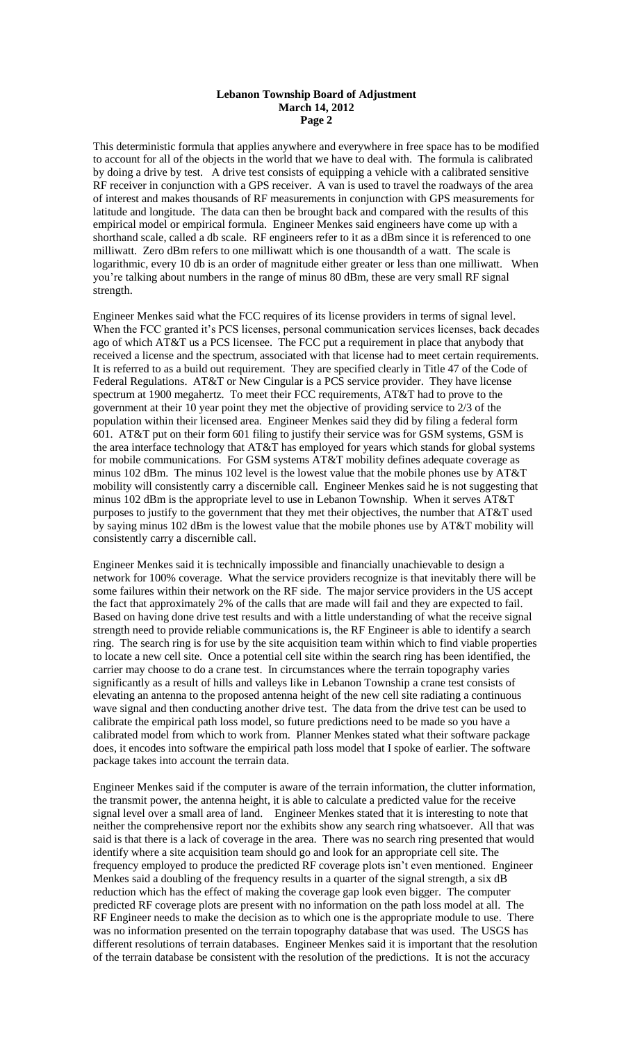This deterministic formula that applies anywhere and everywhere in free space has to be modified to account for all of the objects in the world that we have to deal with. The formula is calibrated by doing a drive by test. A drive test consists of equipping a vehicle with a calibrated sensitive RF receiver in conjunction with a GPS receiver. A van is used to travel the roadways of the area of interest and makes thousands of RF measurements in conjunction with GPS measurements for latitude and longitude. The data can then be brought back and compared with the results of this empirical model or empirical formula. Engineer Menkes said engineers have come up with a shorthand scale, called a db scale. RF engineers refer to it as a dBm since it is referenced to one milliwatt. Zero dBm refers to one milliwatt which is one thousandth of a watt. The scale is logarithmic, every 10 db is an order of magnitude either greater or less than one milliwatt. When you're talking about numbers in the range of minus 80 dBm, these are very small RF signal strength.

Engineer Menkes said what the FCC requires of its license providers in terms of signal level. When the FCC granted it's PCS licenses, personal communication services licenses, back decades ago of which AT&T us a PCS licensee. The FCC put a requirement in place that anybody that received a license and the spectrum, associated with that license had to meet certain requirements. It is referred to as a build out requirement. They are specified clearly in Title 47 of the Code of Federal Regulations. AT&T or New Cingular is a PCS service provider. They have license spectrum at 1900 megahertz. To meet their FCC requirements, AT&T had to prove to the government at their 10 year point they met the objective of providing service to 2/3 of the population within their licensed area. Engineer Menkes said they did by filing a federal form 601. AT&T put on their form 601 filing to justify their service was for GSM systems, GSM is the area interface technology that AT&T has employed for years which stands for global systems for mobile communications. For GSM systems AT&T mobility defines adequate coverage as minus 102 dBm. The minus 102 level is the lowest value that the mobile phones use by AT&T mobility will consistently carry a discernible call. Engineer Menkes said he is not suggesting that minus 102 dBm is the appropriate level to use in Lebanon Township. When it serves AT&T purposes to justify to the government that they met their objectives, the number that AT&T used by saying minus 102 dBm is the lowest value that the mobile phones use by AT&T mobility will consistently carry a discernible call.

Engineer Menkes said it is technically impossible and financially unachievable to design a network for 100% coverage. What the service providers recognize is that inevitably there will be some failures within their network on the RF side. The major service providers in the US accept the fact that approximately 2% of the calls that are made will fail and they are expected to fail. Based on having done drive test results and with a little understanding of what the receive signal strength need to provide reliable communications is, the RF Engineer is able to identify a search ring. The search ring is for use by the site acquisition team within which to find viable properties to locate a new cell site. Once a potential cell site within the search ring has been identified, the carrier may choose to do a crane test. In circumstances where the terrain topography varies significantly as a result of hills and valleys like in Lebanon Township a crane test consists of elevating an antenna to the proposed antenna height of the new cell site radiating a continuous wave signal and then conducting another drive test. The data from the drive test can be used to calibrate the empirical path loss model, so future predictions need to be made so you have a calibrated model from which to work from. Planner Menkes stated what their software package does, it encodes into software the empirical path loss model that I spoke of earlier. The software package takes into account the terrain data.

Engineer Menkes said if the computer is aware of the terrain information, the clutter information, the transmit power, the antenna height, it is able to calculate a predicted value for the receive signal level over a small area of land. Engineer Menkes stated that it is interesting to note that neither the comprehensive report nor the exhibits show any search ring whatsoever. All that was said is that there is a lack of coverage in the area. There was no search ring presented that would identify where a site acquisition team should go and look for an appropriate cell site. The frequency employed to produce the predicted RF coverage plots isn't even mentioned. Engineer Menkes said a doubling of the frequency results in a quarter of the signal strength, a six dB reduction which has the effect of making the coverage gap look even bigger. The computer predicted RF coverage plots are present with no information on the path loss model at all. The RF Engineer needs to make the decision as to which one is the appropriate module to use. There was no information presented on the terrain topography database that was used. The USGS has different resolutions of terrain databases. Engineer Menkes said it is important that the resolution of the terrain database be consistent with the resolution of the predictions. It is not the accuracy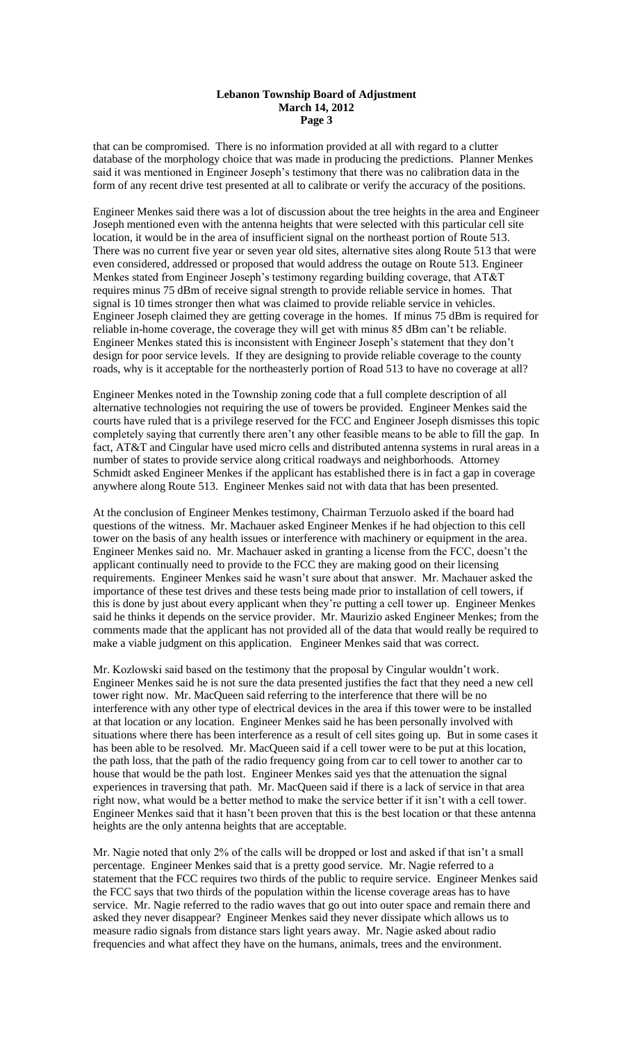that can be compromised. There is no information provided at all with regard to a clutter database of the morphology choice that was made in producing the predictions. Planner Menkes said it was mentioned in Engineer Joseph's testimony that there was no calibration data in the form of any recent drive test presented at all to calibrate or verify the accuracy of the positions.

Engineer Menkes said there was a lot of discussion about the tree heights in the area and Engineer Joseph mentioned even with the antenna heights that were selected with this particular cell site location, it would be in the area of insufficient signal on the northeast portion of Route 513. There was no current five year or seven year old sites, alternative sites along Route 513 that were even considered, addressed or proposed that would address the outage on Route 513. Engineer Menkes stated from Engineer Joseph's testimony regarding building coverage, that AT&T requires minus 75 dBm of receive signal strength to provide reliable service in homes. That signal is 10 times stronger then what was claimed to provide reliable service in vehicles. Engineer Joseph claimed they are getting coverage in the homes. If minus 75 dBm is required for reliable in-home coverage, the coverage they will get with minus 85 dBm can't be reliable. Engineer Menkes stated this is inconsistent with Engineer Joseph's statement that they don't design for poor service levels. If they are designing to provide reliable coverage to the county roads, why is it acceptable for the northeasterly portion of Road 513 to have no coverage at all?

Engineer Menkes noted in the Township zoning code that a full complete description of all alternative technologies not requiring the use of towers be provided. Engineer Menkes said the courts have ruled that is a privilege reserved for the FCC and Engineer Joseph dismisses this topic completely saying that currently there aren't any other feasible means to be able to fill the gap. In fact, AT&T and Cingular have used micro cells and distributed antenna systems in rural areas in a number of states to provide service along critical roadways and neighborhoods. Attorney Schmidt asked Engineer Menkes if the applicant has established there is in fact a gap in coverage anywhere along Route 513. Engineer Menkes said not with data that has been presented.

At the conclusion of Engineer Menkes testimony, Chairman Terzuolo asked if the board had questions of the witness. Mr. Machauer asked Engineer Menkes if he had objection to this cell tower on the basis of any health issues or interference with machinery or equipment in the area. Engineer Menkes said no. Mr. Machauer asked in granting a license from the FCC, doesn't the applicant continually need to provide to the FCC they are making good on their licensing requirements. Engineer Menkes said he wasn't sure about that answer. Mr. Machauer asked the importance of these test drives and these tests being made prior to installation of cell towers, if this is done by just about every applicant when they're putting a cell tower up. Engineer Menkes said he thinks it depends on the service provider. Mr. Maurizio asked Engineer Menkes; from the comments made that the applicant has not provided all of the data that would really be required to make a viable judgment on this application. Engineer Menkes said that was correct.

Mr. Kozlowski said based on the testimony that the proposal by Cingular wouldn't work. Engineer Menkes said he is not sure the data presented justifies the fact that they need a new cell tower right now. Mr. MacQueen said referring to the interference that there will be no interference with any other type of electrical devices in the area if this tower were to be installed at that location or any location. Engineer Menkes said he has been personally involved with situations where there has been interference as a result of cell sites going up. But in some cases it has been able to be resolved. Mr. MacQueen said if a cell tower were to be put at this location, the path loss, that the path of the radio frequency going from car to cell tower to another car to house that would be the path lost. Engineer Menkes said yes that the attenuation the signal experiences in traversing that path. Mr. MacQueen said if there is a lack of service in that area right now, what would be a better method to make the service better if it isn't with a cell tower. Engineer Menkes said that it hasn't been proven that this is the best location or that these antenna heights are the only antenna heights that are acceptable.

Mr. Nagie noted that only 2% of the calls will be dropped or lost and asked if that isn't a small percentage. Engineer Menkes said that is a pretty good service. Mr. Nagie referred to a statement that the FCC requires two thirds of the public to require service. Engineer Menkes said the FCC says that two thirds of the population within the license coverage areas has to have service. Mr. Nagie referred to the radio waves that go out into outer space and remain there and asked they never disappear? Engineer Menkes said they never dissipate which allows us to measure radio signals from distance stars light years away. Mr. Nagie asked about radio frequencies and what affect they have on the humans, animals, trees and the environment.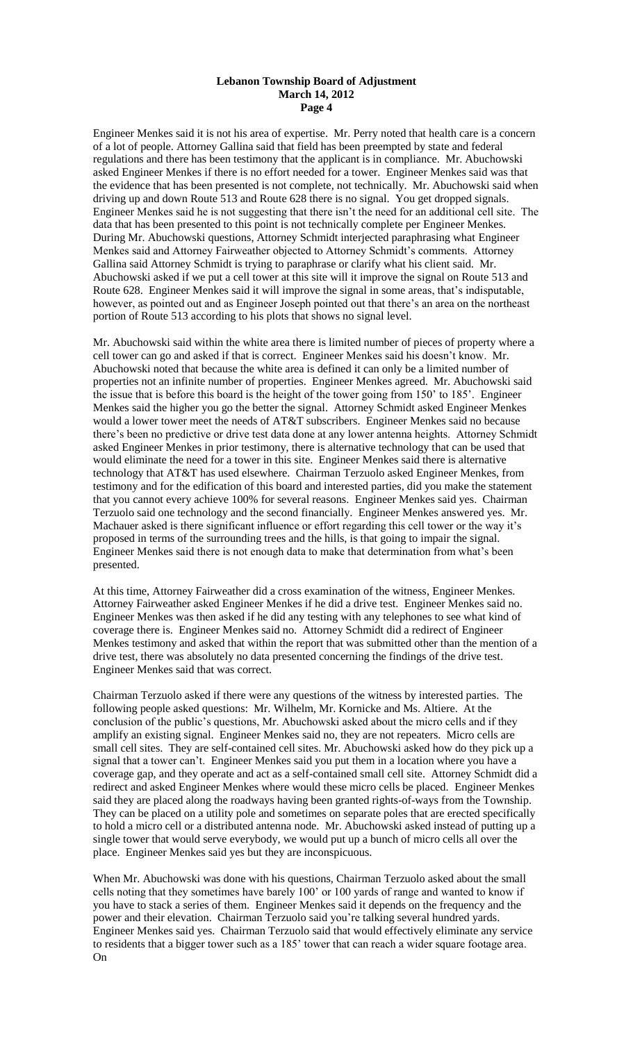Engineer Menkes said it is not his area of expertise. Mr. Perry noted that health care is a concern of a lot of people. Attorney Gallina said that field has been preempted by state and federal regulations and there has been testimony that the applicant is in compliance. Mr. Abuchowski asked Engineer Menkes if there is no effort needed for a tower. Engineer Menkes said was that the evidence that has been presented is not complete, not technically. Mr. Abuchowski said when driving up and down Route 513 and Route 628 there is no signal. You get dropped signals. Engineer Menkes said he is not suggesting that there isn't the need for an additional cell site. The data that has been presented to this point is not technically complete per Engineer Menkes. During Mr. Abuchowski questions, Attorney Schmidt interjected paraphrasing what Engineer Menkes said and Attorney Fairweather objected to Attorney Schmidt's comments. Attorney Gallina said Attorney Schmidt is trying to paraphrase or clarify what his client said. Mr. Abuchowski asked if we put a cell tower at this site will it improve the signal on Route 513 and Route 628. Engineer Menkes said it will improve the signal in some areas, that's indisputable, however, as pointed out and as Engineer Joseph pointed out that there's an area on the northeast portion of Route 513 according to his plots that shows no signal level.

Mr. Abuchowski said within the white area there is limited number of pieces of property where a cell tower can go and asked if that is correct. Engineer Menkes said his doesn't know. Mr. Abuchowski noted that because the white area is defined it can only be a limited number of properties not an infinite number of properties. Engineer Menkes agreed. Mr. Abuchowski said the issue that is before this board is the height of the tower going from 150' to 185'. Engineer Menkes said the higher you go the better the signal. Attorney Schmidt asked Engineer Menkes would a lower tower meet the needs of AT&T subscribers. Engineer Menkes said no because there's been no predictive or drive test data done at any lower antenna heights. Attorney Schmidt asked Engineer Menkes in prior testimony, there is alternative technology that can be used that would eliminate the need for a tower in this site. Engineer Menkes said there is alternative technology that AT&T has used elsewhere. Chairman Terzuolo asked Engineer Menkes, from testimony and for the edification of this board and interested parties, did you make the statement that you cannot every achieve 100% for several reasons. Engineer Menkes said yes. Chairman Terzuolo said one technology and the second financially. Engineer Menkes answered yes. Mr. Machauer asked is there significant influence or effort regarding this cell tower or the way it's proposed in terms of the surrounding trees and the hills, is that going to impair the signal. Engineer Menkes said there is not enough data to make that determination from what's been presented.

At this time, Attorney Fairweather did a cross examination of the witness, Engineer Menkes. Attorney Fairweather asked Engineer Menkes if he did a drive test. Engineer Menkes said no. Engineer Menkes was then asked if he did any testing with any telephones to see what kind of coverage there is. Engineer Menkes said no. Attorney Schmidt did a redirect of Engineer Menkes testimony and asked that within the report that was submitted other than the mention of a drive test, there was absolutely no data presented concerning the findings of the drive test. Engineer Menkes said that was correct.

Chairman Terzuolo asked if there were any questions of the witness by interested parties. The following people asked questions: Mr. Wilhelm, Mr. Kornicke and Ms. Altiere. At the conclusion of the public's questions, Mr. Abuchowski asked about the micro cells and if they amplify an existing signal. Engineer Menkes said no, they are not repeaters. Micro cells are small cell sites. They are self-contained cell sites. Mr. Abuchowski asked how do they pick up a signal that a tower can't. Engineer Menkes said you put them in a location where you have a coverage gap, and they operate and act as a self-contained small cell site. Attorney Schmidt did a redirect and asked Engineer Menkes where would these micro cells be placed. Engineer Menkes said they are placed along the roadways having been granted rights-of-ways from the Township. They can be placed on a utility pole and sometimes on separate poles that are erected specifically to hold a micro cell or a distributed antenna node. Mr. Abuchowski asked instead of putting up a single tower that would serve everybody, we would put up a bunch of micro cells all over the place. Engineer Menkes said yes but they are inconspicuous.

When Mr. Abuchowski was done with his questions, Chairman Terzuolo asked about the small cells noting that they sometimes have barely 100' or 100 yards of range and wanted to know if you have to stack a series of them. Engineer Menkes said it depends on the frequency and the power and their elevation. Chairman Terzuolo said you're talking several hundred yards. Engineer Menkes said yes. Chairman Terzuolo said that would effectively eliminate any service to residents that a bigger tower such as a 185' tower that can reach a wider square footage area. On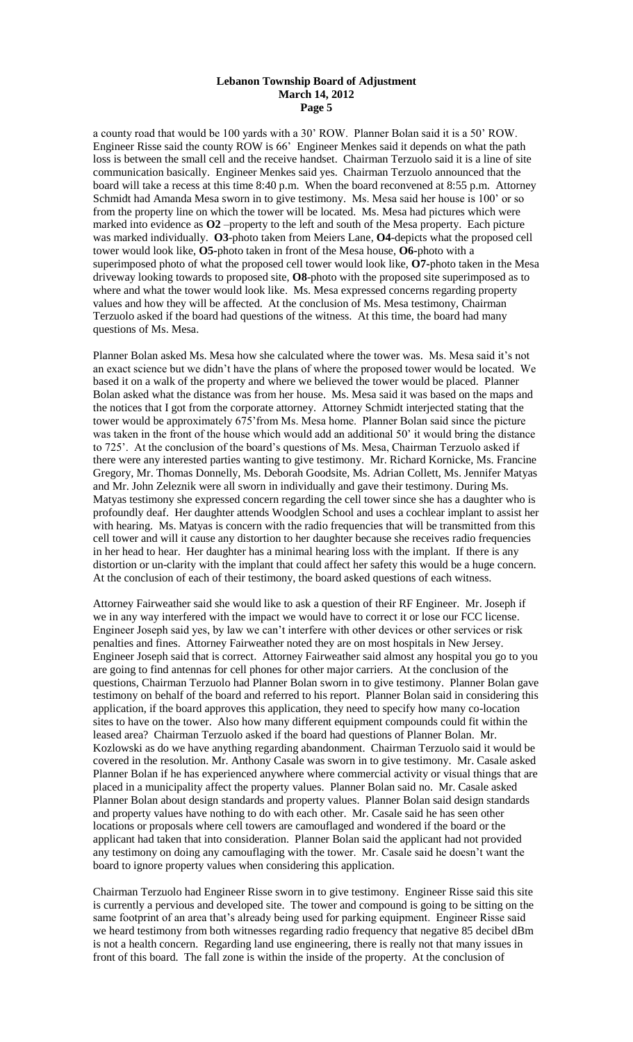a county road that would be 100 yards with a 30' ROW. Planner Bolan said it is a 50' ROW. Engineer Risse said the county ROW is 66' Engineer Menkes said it depends on what the path loss is between the small cell and the receive handset. Chairman Terzuolo said it is a line of site communication basically. Engineer Menkes said yes. Chairman Terzuolo announced that the board will take a recess at this time 8:40 p.m. When the board reconvened at 8:55 p.m. Attorney Schmidt had Amanda Mesa sworn in to give testimony. Ms. Mesa said her house is 100' or so from the property line on which the tower will be located. Ms. Mesa had pictures which were marked into evidence as **O2** –property to the left and south of the Mesa property. Each picture was marked individually. **O3**-photo taken from Meiers Lane, **O4**-depicts what the proposed cell tower would look like, **O5-**photo taken in front of the Mesa house, **O6-**photo with a superimposed photo of what the proposed cell tower would look like, **O7-**photo taken in the Mesa driveway looking towards to proposed site, **O8**-photo with the proposed site superimposed as to where and what the tower would look like. Ms. Mesa expressed concerns regarding property values and how they will be affected. At the conclusion of Ms. Mesa testimony, Chairman Terzuolo asked if the board had questions of the witness. At this time, the board had many questions of Ms. Mesa.

Planner Bolan asked Ms. Mesa how she calculated where the tower was. Ms. Mesa said it's not an exact science but we didn't have the plans of where the proposed tower would be located. We based it on a walk of the property and where we believed the tower would be placed. Planner Bolan asked what the distance was from her house. Ms. Mesa said it was based on the maps and the notices that I got from the corporate attorney. Attorney Schmidt interjected stating that the tower would be approximately 675'from Ms. Mesa home. Planner Bolan said since the picture was taken in the front of the house which would add an additional 50' it would bring the distance to 725'. At the conclusion of the board's questions of Ms. Mesa, Chairman Terzuolo asked if there were any interested parties wanting to give testimony. Mr. Richard Kornicke, Ms. Francine Gregory, Mr. Thomas Donnelly, Ms. Deborah Goodsite, Ms. Adrian Collett, Ms. Jennifer Matyas and Mr. John Zeleznik were all sworn in individually and gave their testimony. During Ms. Matyas testimony she expressed concern regarding the cell tower since she has a daughter who is profoundly deaf. Her daughter attends Woodglen School and uses a cochlear implant to assist her with hearing. Ms. Matyas is concern with the radio frequencies that will be transmitted from this cell tower and will it cause any distortion to her daughter because she receives radio frequencies in her head to hear. Her daughter has a minimal hearing loss with the implant. If there is any distortion or un-clarity with the implant that could affect her safety this would be a huge concern. At the conclusion of each of their testimony, the board asked questions of each witness.

Attorney Fairweather said she would like to ask a question of their RF Engineer. Mr. Joseph if we in any way interfered with the impact we would have to correct it or lose our FCC license. Engineer Joseph said yes, by law we can't interfere with other devices or other services or risk penalties and fines. Attorney Fairweather noted they are on most hospitals in New Jersey. Engineer Joseph said that is correct. Attorney Fairweather said almost any hospital you go to you are going to find antennas for cell phones for other major carriers. At the conclusion of the questions, Chairman Terzuolo had Planner Bolan sworn in to give testimony. Planner Bolan gave testimony on behalf of the board and referred to his report. Planner Bolan said in considering this application, if the board approves this application, they need to specify how many co-location sites to have on the tower. Also how many different equipment compounds could fit within the leased area? Chairman Terzuolo asked if the board had questions of Planner Bolan. Mr. Kozlowski as do we have anything regarding abandonment. Chairman Terzuolo said it would be covered in the resolution. Mr. Anthony Casale was sworn in to give testimony. Mr. Casale asked Planner Bolan if he has experienced anywhere where commercial activity or visual things that are placed in a municipality affect the property values. Planner Bolan said no. Mr. Casale asked Planner Bolan about design standards and property values. Planner Bolan said design standards and property values have nothing to do with each other. Mr. Casale said he has seen other locations or proposals where cell towers are camouflaged and wondered if the board or the applicant had taken that into consideration. Planner Bolan said the applicant had not provided any testimony on doing any camouflaging with the tower. Mr. Casale said he doesn't want the board to ignore property values when considering this application.

Chairman Terzuolo had Engineer Risse sworn in to give testimony. Engineer Risse said this site is currently a pervious and developed site. The tower and compound is going to be sitting on the same footprint of an area that's already being used for parking equipment. Engineer Risse said we heard testimony from both witnesses regarding radio frequency that negative 85 decibel dBm is not a health concern. Regarding land use engineering, there is really not that many issues in front of this board. The fall zone is within the inside of the property. At the conclusion of